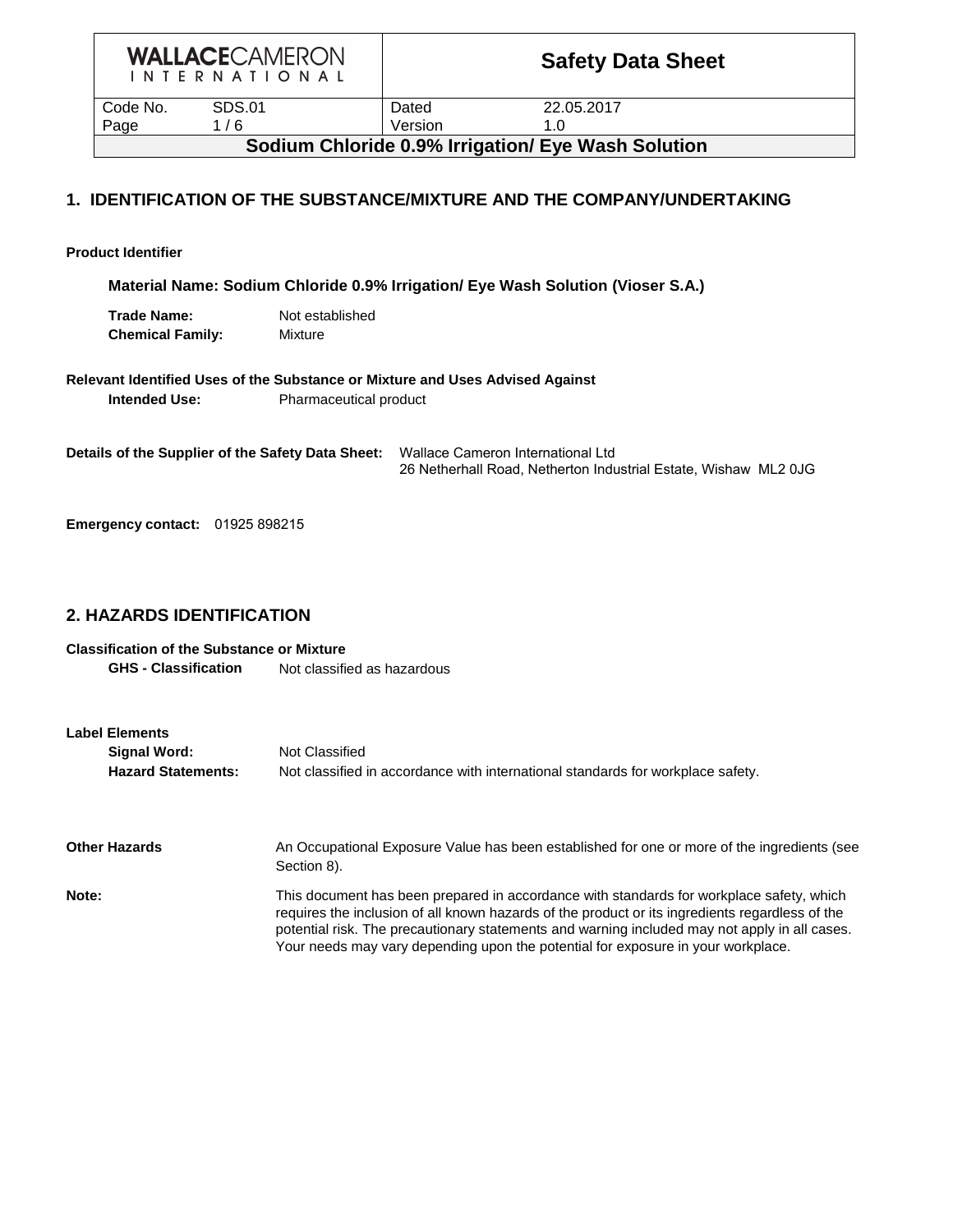|  |  |  |  |  | <b>WALLACECAMERON</b>     |  |
|--|--|--|--|--|---------------------------|--|
|  |  |  |  |  | I N T E R N A T I O N A L |  |

| Code No. | SDS.01 | Dated   | 22.05.2017                                         |
|----------|--------|---------|----------------------------------------------------|
| Page     | / 6    | Version | 1.0                                                |
|          |        |         | Sodium Chloride 0.9% Irrigation/ Eye Wash Solution |

### **1. IDENTIFICATION OF THE SUBSTANCE/MIXTURE AND THE COMPANY/UNDERTAKING**

**Product Identifier**

**Material Name: Sodium Chloride 0.9% Irrigation/ Eye Wash Solution (Vioser S.A.)**

| Trade Name:             | Not established |
|-------------------------|-----------------|
| <b>Chemical Family:</b> | Mixture         |

**Relevant Identified Uses of the Substance or Mixture and Uses Advised Against**

**Intended Use:** Pharmaceutical product

**Details of the Supplier of the Safety Data Sheet:**  Wallace Cameron International Ltd 26 Netherhall Road, Netherton Industrial Estate, Wishaw ML2 0JG

**Emergency contact:** 01925 898215

### **2. HAZARDS IDENTIFICATION**

#### **Classification of the Substance or Mixture**

**GHS - Classification** Not classified as hazardous

| <b>Label Elements</b><br>Signal Word:<br><b>Hazard Statements:</b> | Not Classified<br>Not classified in accordance with international standards for workplace safety.                                                                                                                                                                                                                                                                                |
|--------------------------------------------------------------------|----------------------------------------------------------------------------------------------------------------------------------------------------------------------------------------------------------------------------------------------------------------------------------------------------------------------------------------------------------------------------------|
| <b>Other Hazards</b>                                               | An Occupational Exposure Value has been established for one or more of the ingredients (see<br>Section 8).                                                                                                                                                                                                                                                                       |
| Note:                                                              | This document has been prepared in accordance with standards for workplace safety, which<br>requires the inclusion of all known hazards of the product or its ingredients regardless of the<br>potential risk. The precautionary statements and warning included may not apply in all cases.<br>Your needs may vary depending upon the potential for exposure in your workplace. |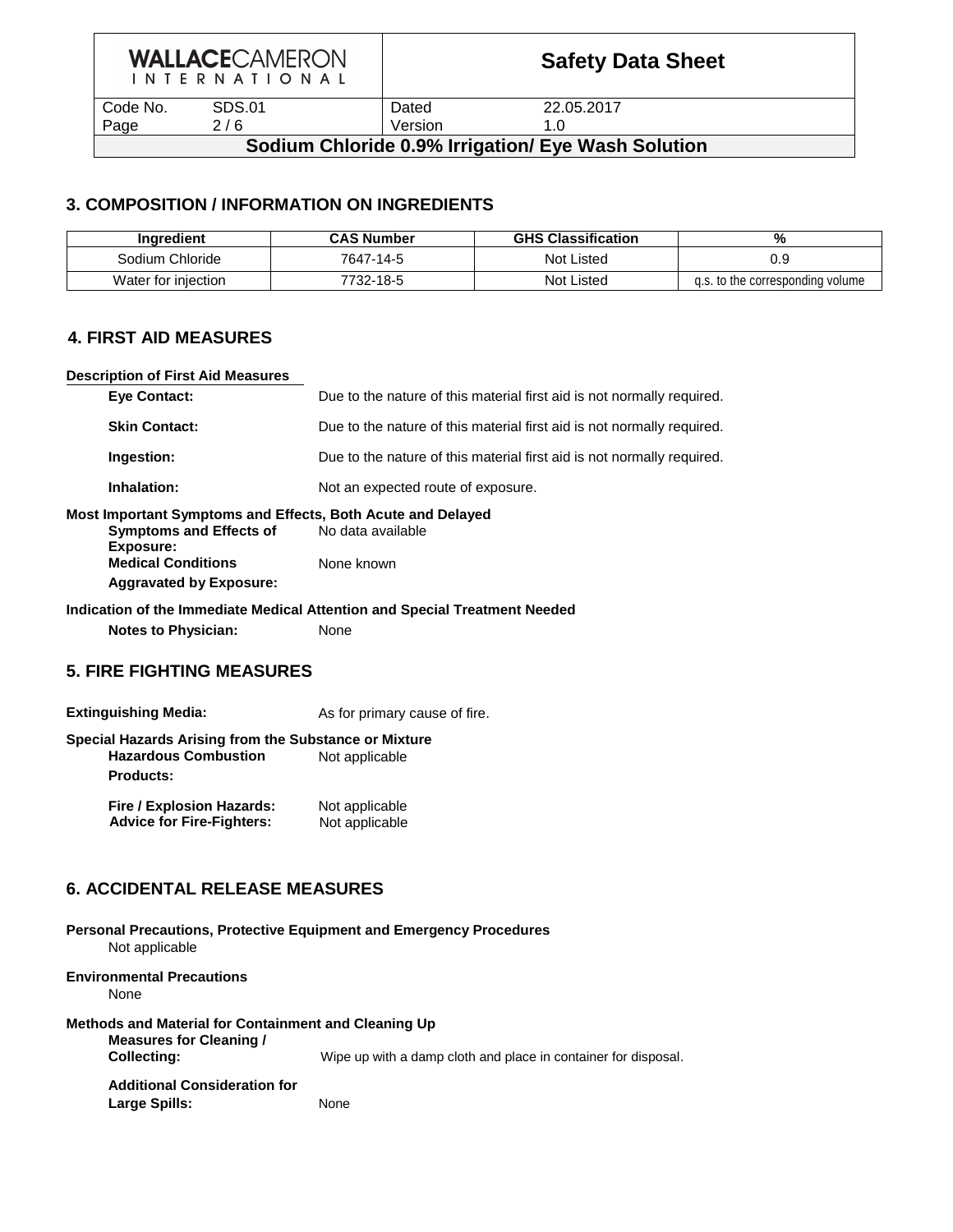|  |  |  |  |  | <b>WALLACECAMERON</b> |  |  |
|--|--|--|--|--|-----------------------|--|--|
|  |  |  |  |  | INTERNATIONAL         |  |  |

Code No. SDS.01 Dated 22.05.2017 Page 2/6 Version 1.0

Large Spills: None

### **Sodium Chloride 0.9% Irrigation/ Eye Wash Solution**

### **3. COMPOSITION / INFORMATION ON INGREDIENTS**

| Inaredient          | <b>CAS Number</b> | <b>GHS Classification</b> | %                                |
|---------------------|-------------------|---------------------------|----------------------------------|
| Sodium Chloride     | 7647-14-5         | Not Listed                |                                  |
| Water for injection | 7732-18-5         | <b>Not Listed</b>         | g.s. to the corresponding volume |

### **4. FIRST AID MEASURES**

# **Description of First Aid Measures Eye Contact:** Due to the nature of this material first aid is not normally required. **Skin Contact:** Due to the nature of this material first aid is not normally required. **Ingestion:** Due to the nature of this material first aid is not normally required. **Inhalation:** Not an expected route of exposure. **Most Important Symptoms and Effects, Both Acute and Delayed Symptoms and Effects of Mo data available Exposure: Medical Conditions** None known **Aggravated by Exposure: Indication of the Immediate Medical Attention and Special Treatment Needed Notes to Physician:** None **5. FIRE FIGHTING MEASURES Extinguishing Media:** As for primary cause of fire. **Special Hazards Arising from the Substance or Mixture Hazardous Combustion** Not applicable **Products: Fire / Explosion Hazards:** Not applicable Advice for Fire-Fighters: Not applicable **6. ACCIDENTAL RELEASE MEASURES Personal Precautions, Protective Equipment and Emergency Procedures** Not applicable **Environmental Precautions** None **Methods and Material for Containment and Cleaning Up Measures for Cleaning / Collecting:** Wipe up with a damp cloth and place in container for disposal. **Additional Consideration for**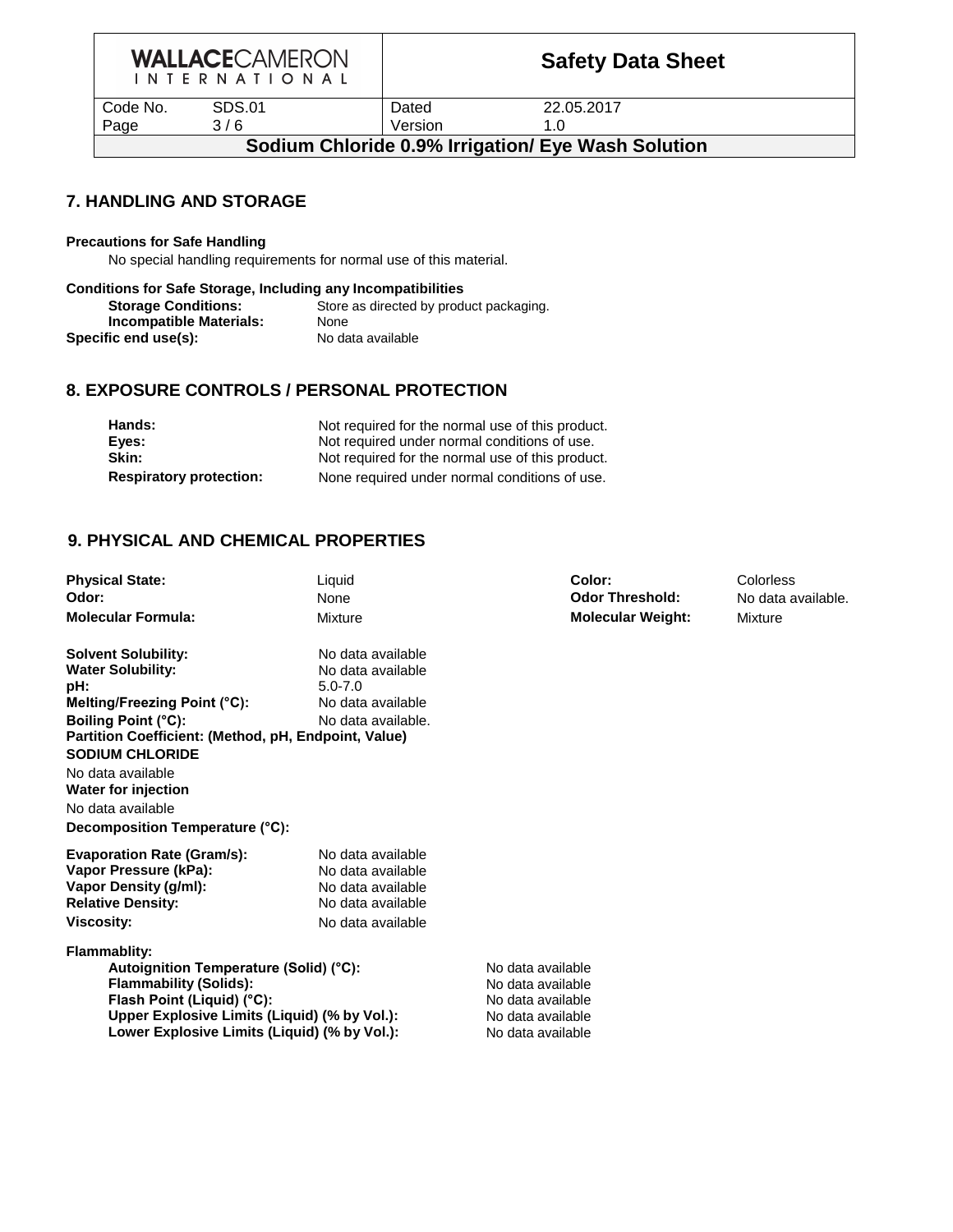|  |  |  |  |  | <b>WALLACECAMERON</b>     |  |  |
|--|--|--|--|--|---------------------------|--|--|
|  |  |  |  |  | I N T F R N A T I O N A I |  |  |

| Page<br>3/6               | Version | 1.0       |
|---------------------------|---------|-----------|
| <b>SDS.01</b><br>Code No. | Dated   | ົດ<br>ZZ. |
|                           |         |           |

22.05.2017

## **Sodium Chloride 0.9% Irrigation/ Eye Wash Solution**

### **7. HANDLING AND STORAGE**

#### **Precautions for Safe Handling**

No special handling requirements for normal use of this material.

| <b>Conditions for Safe Storage, Including any Incompatibilities</b> |                                         |  |  |  |  |  |  |  |  |
|---------------------------------------------------------------------|-----------------------------------------|--|--|--|--|--|--|--|--|
| <b>Storage Conditions:</b>                                          | Store as directed by product packaging. |  |  |  |  |  |  |  |  |
| Incompatible Materials:                                             | <b>None</b>                             |  |  |  |  |  |  |  |  |
| Specific end use(s):                                                | No data available                       |  |  |  |  |  |  |  |  |

#### **8. EXPOSURE CONTROLS / PERSONAL PROTECTION**

| Hands:                         | Not required for the normal use of this product. |
|--------------------------------|--------------------------------------------------|
| Eyes:                          | Not required under normal conditions of use.     |
| Skin:                          | Not required for the normal use of this product. |
| <b>Respiratory protection:</b> | None required under normal conditions of use.    |

### **9. PHYSICAL AND CHEMICAL PROPERTIES**

| <b>Physical State:</b>                               | Liquid                           | Color:                   | Colorless          |
|------------------------------------------------------|----------------------------------|--------------------------|--------------------|
| Odor:                                                | None                             | <b>Odor Threshold:</b>   | No data available. |
| <b>Molecular Formula:</b>                            | Mixture                          | <b>Molecular Weight:</b> | <b>Mixture</b>     |
| <b>Solvent Solubility:</b>                           | No data available                |                          |                    |
| <b>Water Solubility:</b><br>pH:                      | No data available<br>$5.0 - 7.0$ |                          |                    |
| Melting/Freezing Point (°C):                         | No data available                |                          |                    |
| Boiling Point (°C):                                  | No data available.               |                          |                    |
| Partition Coefficient: (Method, pH, Endpoint, Value) |                                  |                          |                    |
| <b>SODIUM CHLORIDE</b>                               |                                  |                          |                    |
| No data available                                    |                                  |                          |                    |
| <b>Water for injection</b>                           |                                  |                          |                    |
| No data available                                    |                                  |                          |                    |
| Decomposition Temperature (°C):                      |                                  |                          |                    |
| <b>Evaporation Rate (Gram/s):</b>                    | No data available                |                          |                    |
| Vapor Pressure (kPa):                                | No data available                |                          |                    |
| Vapor Density (g/ml):                                | No data available                |                          |                    |
| <b>Relative Density:</b>                             | No data available                |                          |                    |
| <b>Viscosity:</b>                                    | No data available                |                          |                    |
| <b>Flammablity:</b>                                  |                                  |                          |                    |
| Autoignition Temperature (Solid) (°C):               |                                  | No data available        |                    |
| <b>Flammability (Solids):</b>                        |                                  | No data available        |                    |
| Flash Point (Liquid) (°C):                           |                                  | No data available        |                    |
| Upper Explosive Limits (Liquid) (% by Vol.):         |                                  | No data available        |                    |
| Lower Explosive Limits (Liquid) (% by Vol.):         |                                  | No data available        |                    |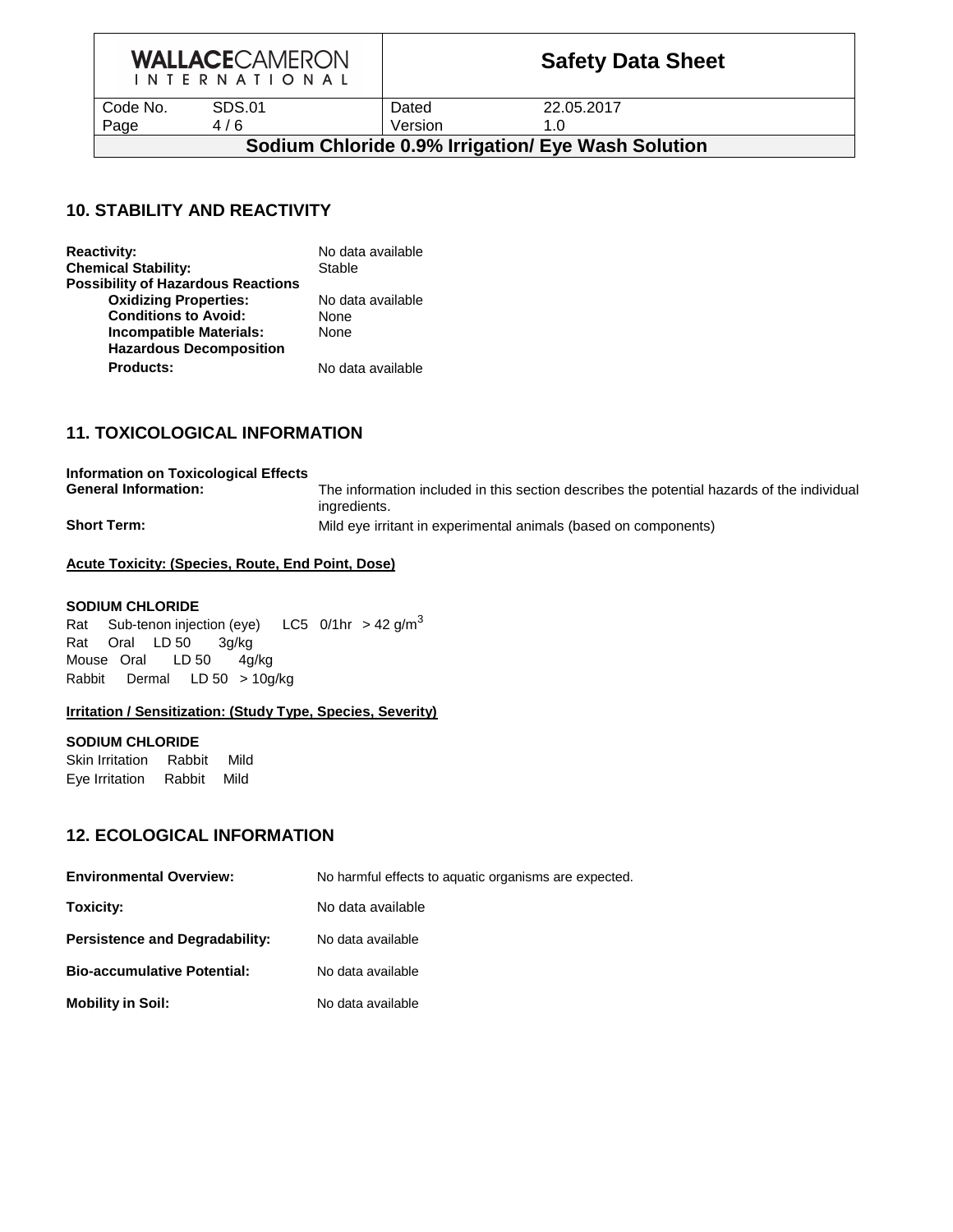|  |  |  |  |  | <b>WALLACECAMERON</b> |  |  |
|--|--|--|--|--|-----------------------|--|--|
|  |  |  |  |  | INTERNATIONAL         |  |  |

Code No. SDS.01 Dated 22.05.2017 Page 4/6 Version 1.0

## **Sodium Chloride 0.9% Irrigation/ Eye Wash Solution**

### **10. STABILITY AND REACTIVITY**

| <b>Reactivity:</b>                        | No data available |
|-------------------------------------------|-------------------|
| <b>Chemical Stability:</b>                | Stable            |
| <b>Possibility of Hazardous Reactions</b> |                   |
| <b>Oxidizing Properties:</b>              | No data available |
| <b>Conditions to Avoid:</b>               | <b>None</b>       |
| <b>Incompatible Materials:</b>            | None              |
| <b>Hazardous Decomposition</b>            |                   |
| <b>Products:</b>                          | No data available |

### **11. TOXICOLOGICAL INFORMATION**

| <b>Information on Toxicological Effects</b><br><b>General Information:</b> | The information included in this section describes the potential hazards of the individual |
|----------------------------------------------------------------------------|--------------------------------------------------------------------------------------------|
|                                                                            | ingredients.                                                                               |
| <b>Short Term:</b>                                                         | Mild eye irritant in experimental animals (based on components)                            |

#### **Acute Toxicity: (Species, Route, End Point, Dose)**

#### **SODIUM CHLORIDE**

Rat Sub-tenon injection (eye) LC5  $0/1$ hr > 42 g/m<sup>3</sup> Rat Oral LD 50 3g/kg Mouse Oral LD 50 4g/kg Rabbit Dermal LD 50 > 10g/kg

#### **Irritation / Sensitization: (Study Type, Species, Severity)**

#### **SODIUM CHLORIDE**

Skin Irritation Rabbit Mild Eye Irritation Rabbit Mild

#### **12. ECOLOGICAL INFORMATION**

| <b>Environmental Overview:</b>        | No harmful effects to aquatic organisms are expected. |
|---------------------------------------|-------------------------------------------------------|
| Toxicity:                             | No data available                                     |
| <b>Persistence and Degradability:</b> | No data available                                     |
| <b>Bio-accumulative Potential:</b>    | No data available                                     |
| <b>Mobility in Soil:</b>              | No data available                                     |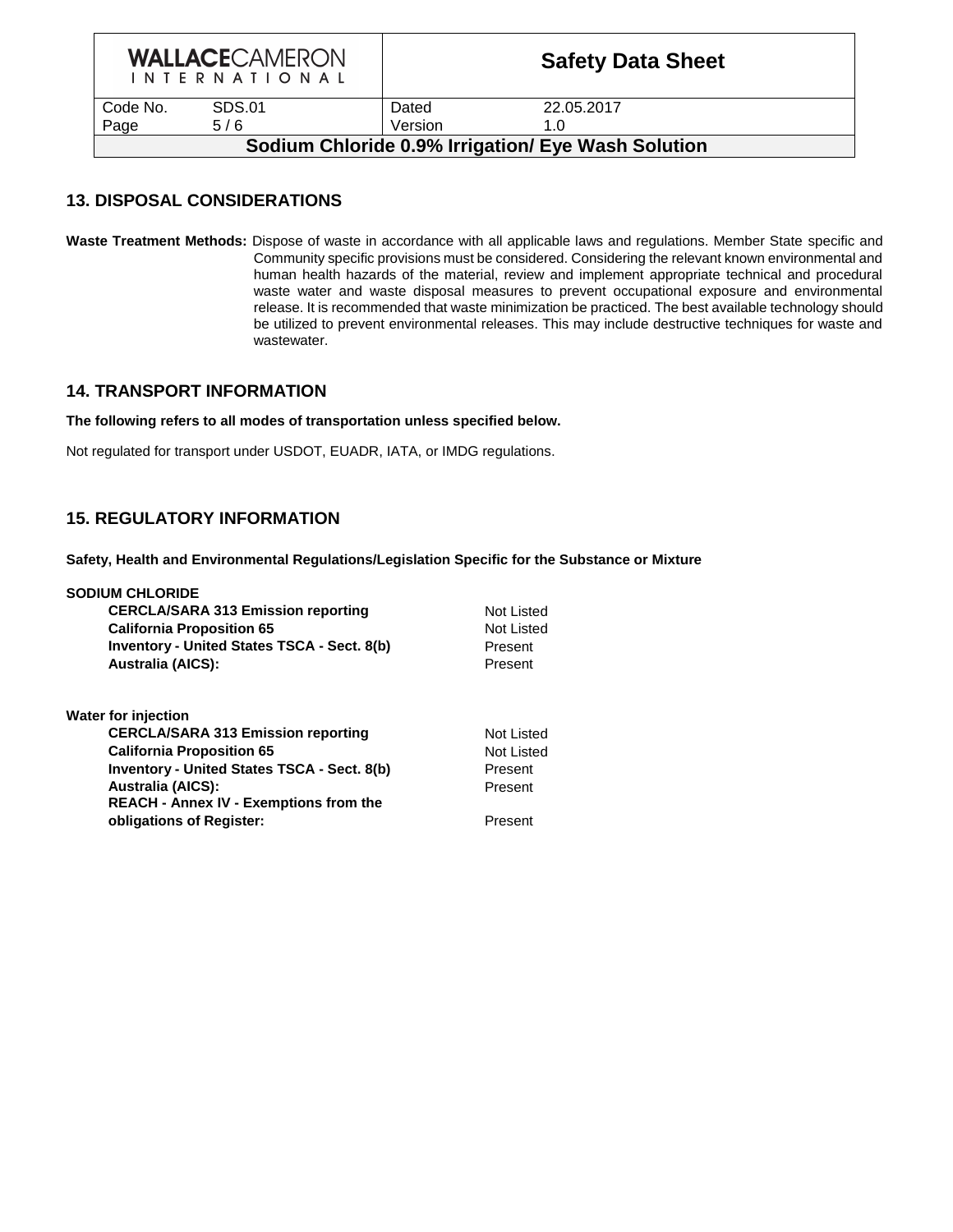| <b>WALLACECAMERON</b><br>I N T E R N A T I O N A L |        | <b>Safety Data Sheet</b> |            |  |  |
|----------------------------------------------------|--------|--------------------------|------------|--|--|
| Code No.                                           | SDS.01 | Dated                    | 22.05.2017 |  |  |
| Page                                               | 5/6    | Version                  | 1.0        |  |  |
| Sodium Chloride 0.9% Irrigation/ Eye Wash Solution |        |                          |            |  |  |

### **13. DISPOSAL CONSIDERATIONS**

**Waste Treatment Methods:** Dispose of waste in accordance with all applicable laws and regulations. Member State specific and Community specific provisions must be considered. Considering the relevant known environmental and human health hazards of the material, review and implement appropriate technical and procedural waste water and waste disposal measures to prevent occupational exposure and environmental release. It is recommended that waste minimization be practiced. The best available technology should be utilized to prevent environmental releases. This may include destructive techniques for waste and wastewater.

#### **14. TRANSPORT INFORMATION**

#### **The following refers to all modes of transportation unless specified below.**

Not regulated for transport under USDOT, EUADR, IATA, or IMDG regulations.

#### **15. REGULATORY INFORMATION**

**Safety, Health and Environmental Regulations/Legislation Specific for the Substance or Mixture**

| <b>SODIUM CHLORIDE</b><br><b>CERCLA/SARA 313 Emission reporting</b><br><b>California Proposition 65</b><br><b>Inventory - United States TSCA - Sect. 8(b)</b><br><b>Australia (AICS):</b>                                                                                  | Not Listed<br>Not Listed<br>Present<br>Present            |
|----------------------------------------------------------------------------------------------------------------------------------------------------------------------------------------------------------------------------------------------------------------------------|-----------------------------------------------------------|
| <b>Water for injection</b><br><b>CERCLA/SARA 313 Emission reporting</b><br><b>California Proposition 65</b><br><b>Inventory - United States TSCA - Sect. 8(b)</b><br><b>Australia (AICS):</b><br><b>REACH - Annex IV - Exemptions from the</b><br>obligations of Register: | Not Listed<br>Not Listed<br>Present<br>Present<br>Present |